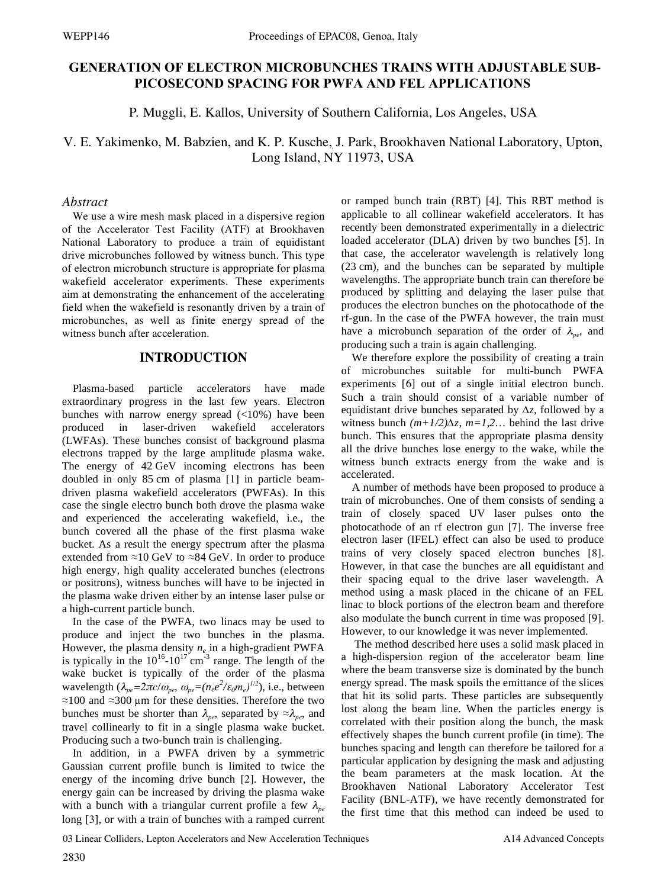# **GENERATION OF ELECTRON MICROBUNCHES TRAINS WITH ADJUSTABLE SUB-PICOSECOND SPACING FOR PWFA AND FEL APPLICATIONS**

P. Muggli, E. Kallos, University of Southern California, Los Angeles, USA

V. E. Yakimenko, M. Babzien, and K. P. Kusche,*,*J. Park, Brookhaven National Laboratory, Upton, Long Island, NY 11973, USA

#### *Abstract*

We use a wire mesh mask placed in a dispersive region of the Accelerator Test Facility (ATF) at Brookhaven National Laboratory to produce a train of equidistant drive microbunches followed by witness bunch. This type of electron microbunch structure is appropriate for plasma wakefield accelerator experiments. These experiments aim at demonstrating the enhancement of the accelerating field when the wakefield is resonantly driven by a train of microbunches, as well as finite energy spread of the witness bunch after acceleration.

## **INTRODUCTION**

Plasma-based particle accelerators have made extraordinary progress in the last few years. Electron bunches with narrow energy spread (<10%) have been produced in laser-driven wakefield accelerators (LWFAs). These bunches consist of background plasma electrons trapped by the large amplitude plasma wake. The energy of 42 GeV incoming electrons has been doubled in only 85 cm of plasma [1] in particle beamdriven plasma wakefield accelerators (PWFAs). In this case the single electro bunch both drove the plasma wake and experienced the accelerating wakefield, i.e., the bunch covered all the phase of the first plasma wake bucket. As a result the energy spectrum after the plasma extended from  $\approx$ 10 GeV to  $\approx$ 84 GeV. In order to produce high energy, high quality accelerated bunches (electrons or positrons), witness bunches will have to be injected in the plasma wake driven either by an intense laser pulse or a high-current particle bunch.

In the case of the PWFA, two linacs may be used to produce and inject the two bunches in the plasma. However, the plasma density *ne* in a high-gradient PWFA is typically in the  $10^{16}$ - $10^{17}$  cm<sup>-3</sup> range. The length of the wake bucket is typically of the order of the plasma wavelength  $(\lambda_{pe} = 2\pi c/\omega_{pe}, \omega_{pe} = (n_e e^2/\varepsilon_0 m_e)^{1/2})$ , i.e., between  $\approx$ 100 and  $\approx$ 300 µm for these densities. Therefore the two bunches must be shorter than  $\lambda_{pe}$ , separated by  $\approx \lambda_{pe}$ , and travel collinearly to fit in a single plasma wake bucket. Producing such a two-bunch train is challenging.

In addition, in a PWFA driven by a symmetric Gaussian current profile bunch is limited to twice the energy of the incoming drive bunch [2]. However, the energy gain can be increased by driving the plasma wake with a bunch with a triangular current profile a few  $\lambda_{pe}$ long [3], or with a train of bunches with a ramped current

or ramped bunch train (RBT) [4]. This RBT method is applicable to all collinear wakefield accelerators. It has recently been demonstrated experimentally in a dielectric loaded accelerator (DLA) driven by two bunches [5]. In that case, the accelerator wavelength is relatively long (23 cm), and the bunches can be separated by multiple wavelengths. The appropriate bunch train can therefore be produced by splitting and delaying the laser pulse that produces the electron bunches on the photocathode of the rf-gun. In the case of the PWFA however, the train must have a microbunch separation of the order of  $\lambda_{pe}$ , and producing such a train is again challenging.

We therefore explore the possibility of creating a train of microbunches suitable for multi-bunch PWFA experiments [6] out of a single initial electron bunch. Such a train should consist of a variable number of equidistant drive bunches separated by  $\Delta z$ , followed by a witness bunch  $(m+1/2)\Delta z$ ,  $m=1,2...$  behind the last drive bunch. This ensures that the appropriate plasma density all the drive bunches lose energy to the wake, while the witness bunch extracts energy from the wake and is accelerated.

A number of methods have been proposed to produce a train of microbunches. One of them consists of sending a train of closely spaced UV laser pulses onto the photocathode of an rf electron gun [7]. The inverse free electron laser (IFEL) effect can also be used to produce trains of very closely spaced electron bunches [8]. However, in that case the bunches are all equidistant and their spacing equal to the drive laser wavelength. A method using a mask placed in the chicane of an FEL linac to block portions of the electron beam and therefore also modulate the bunch current in time was proposed [9]. However, to our knowledge it was never implemented.

 The method described here uses a solid mask placed in a high-dispersion region of the accelerator beam line where the beam transverse size is dominated by the bunch energy spread. The mask spoils the emittance of the slices that hit its solid parts. These particles are subsequently lost along the beam line. When the particles energy is correlated with their position along the bunch, the mask effectively shapes the bunch current profile (in time). The bunches spacing and length can therefore be tailored for a particular application by designing the mask and adjusting the beam parameters at the mask location. At the Brookhaven National Laboratory Accelerator Test Facility (BNL-ATF), we have recently demonstrated for the first time that this method can indeed be used to

03 Linear Colliders, Lepton Accelerators and New Acceleration Techniques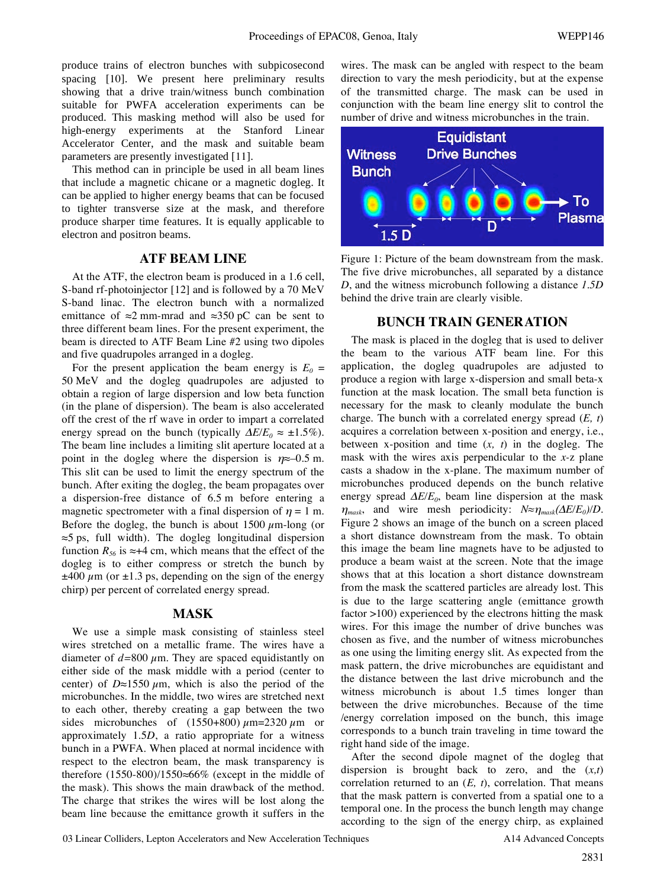produce trains of electron bunches with subpicosecond spacing [10]. We present here preliminary results showing that a drive train/witness bunch combination suitable for PWFA acceleration experiments can be produced. This masking method will also be used for high-energy experiments at the Stanford Linear Accelerator Center, and the mask and suitable beam parameters are presently investigated [11].

This method can in principle be used in all beam lines that include a magnetic chicane or a magnetic dogleg. It can be applied to higher energy beams that can be focused to tighter transverse size at the mask, and therefore produce sharper time features. It is equally applicable to electron and positron beams.

## **ATF BEAM LINE**

At the ATF, the electron beam is produced in a 1.6 cell, S-band rf-photoinjector [12] and is followed by a 70 MeV S-band linac. The electron bunch with a normalized emittance of  $\approx 2$  mm-mrad and  $\approx 350$  pC can be sent to three different beam lines. For the present experiment, the beam is directed to ATF Beam Line #2 using two dipoles and five quadrupoles arranged in a dogleg.

For the present application the beam energy is  $E_0 =$ 50 MeV and the dogleg quadrupoles are adjusted to obtain a region of large dispersion and low beta function (in the plane of dispersion). The beam is also accelerated off the crest of the rf wave in order to impart a correlated energy spread on the bunch (typically  $\Delta E/E_0 \approx \pm 1.5\%$ ). The beam line includes a limiting slit aperture located at a point in the dogleg where the dispersion is  $\eta \approx -0.5$  m. This slit can be used to limit the energy spectrum of the bunch. After exiting the dogleg, the beam propagates over a dispersion-free distance of 6.5 m before entering a magnetic spectrometer with a final dispersion of  $\eta = 1$  m. Before the dogleg, the bunch is about 1500  $\mu$ m-long (or  $\approx$ 5 ps, full width). The dogleg longitudinal dispersion function  $R_{56}$  is  $\approx +4$  cm, which means that the effect of the dogleg is to either compress or stretch the bunch by  $\pm$ 400  $\mu$ m (or  $\pm$ 1.3 ps, depending on the sign of the energy chirp) per percent of correlated energy spread.

#### **MASK**

We use a simple mask consisting of stainless steel wires stretched on a metallic frame. The wires have a diameter of  $d=800 \mu$ m. They are spaced equidistantly on either side of the mask middle with a period (center to center) of  $D \approx 1550 \mu m$ , which is also the period of the microbunches. In the middle, two wires are stretched next to each other, thereby creating a gap between the two sides microbunches of  $(1550+800)\ \mu\text{m} = 2320\ \mu\text{m}$  or approximately 1.5*D*, a ratio appropriate for a witness bunch in a PWFA. When placed at normal incidence with respect to the electron beam, the mask transparency is therefore  $(1550-800)/1550 \approx 66\%$  (except in the middle of the mask). This shows the main drawback of the method. The charge that strikes the wires will be lost along the beam line because the emittance growth it suffers in the

wires. The mask can be angled with respect to the beam direction to vary the mesh periodicity, but at the expense of the transmitted charge. The mask can be used in conjunction with the beam line energy slit to control the number of drive and witness microbunches in the train.



Figure 1: Picture of the beam downstream from the mask. The five drive microbunches, all separated by a distance *D*, and the witness microbunch following a distance *1.5D* behind the drive train are clearly visible.

#### **BUNCH TRAIN GENERATION**

The mask is placed in the dogleg that is used to deliver the beam to the various ATF beam line. For this application, the dogleg quadrupoles are adjusted to produce a region with large x-dispersion and small beta-x function at the mask location. The small beta function is necessary for the mask to cleanly modulate the bunch charge. The bunch with a correlated energy spread (*E, t*) acquires a correlation between x-position and energy, i.e., between x-position and time (*x, t*) in the dogleg. The mask with the wires axis perpendicular to the *x-*z plane casts a shadow in the x-plane. The maximum number of microbunches produced depends on the bunch relative energy spread  $\Delta E/E_0$ , beam line dispersion at the mask  $\eta_{mask}$ , and wire mesh periodicity:  $N \approx \eta_{mask}(\Delta E/E_0) / D$ . Figure 2 shows an image of the bunch on a screen placed a short distance downstream from the mask. To obtain this image the beam line magnets have to be adjusted to produce a beam waist at the screen. Note that the image shows that at this location a short distance downstream from the mask the scattered particles are already lost. This is due to the large scattering angle (emittance growth factor >100) experienced by the electrons hitting the mask wires. For this image the number of drive bunches was chosen as five, and the number of witness microbunches as one using the limiting energy slit. As expected from the mask pattern, the drive microbunches are equidistant and the distance between the last drive microbunch and the witness microbunch is about 1.5 times longer than between the drive microbunches. Because of the time /energy correlation imposed on the bunch, this image corresponds to a bunch train traveling in time toward the right hand side of the image.

After the second dipole magnet of the dogleg that dispersion is brought back to zero, and the (*x,t*) correlation returned to an (*E, t*), correlation. That means that the mask pattern is converted from a spatial one to a temporal one. In the process the bunch length may change according to the sign of the energy chirp, as explained